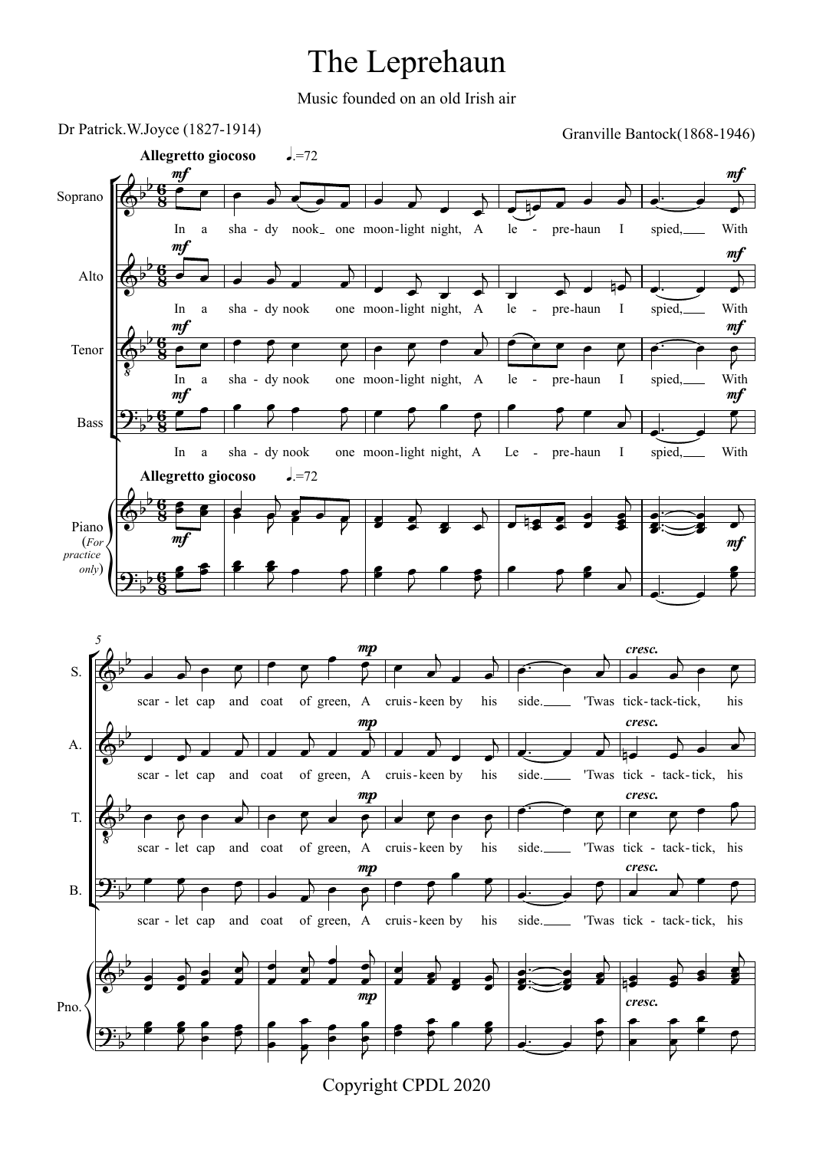## The Leprehaun

Music founded on an old Irish air



Copyright CPDL 2020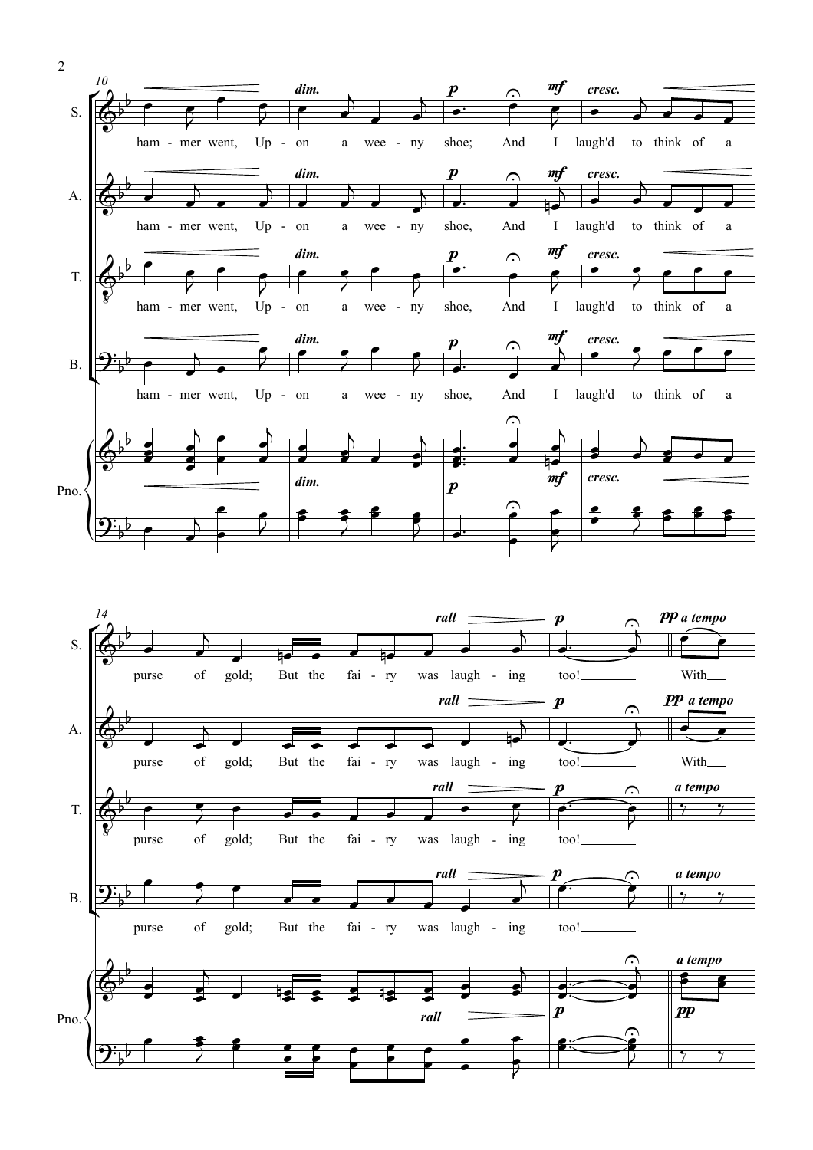

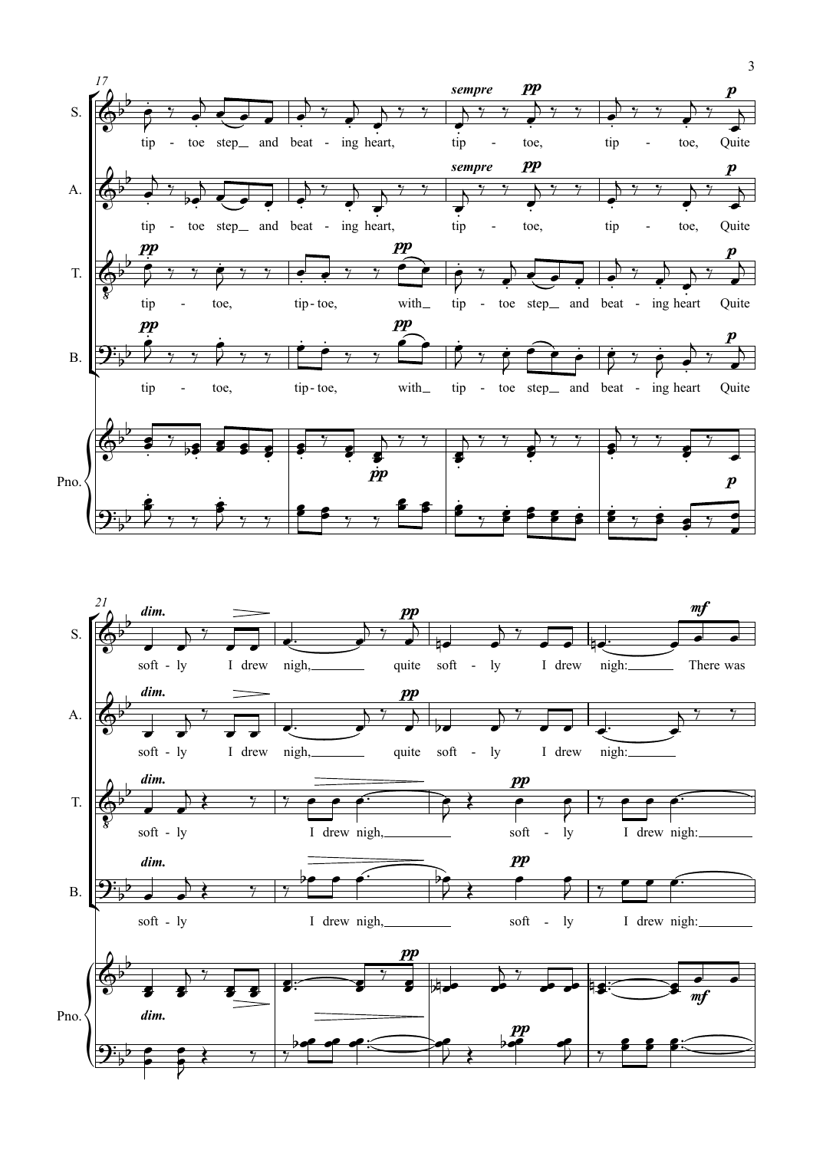

 $\frac{1}{2}$ 

 $\frac{1}{2}$  $\overline{\phantom{a}}$ 

3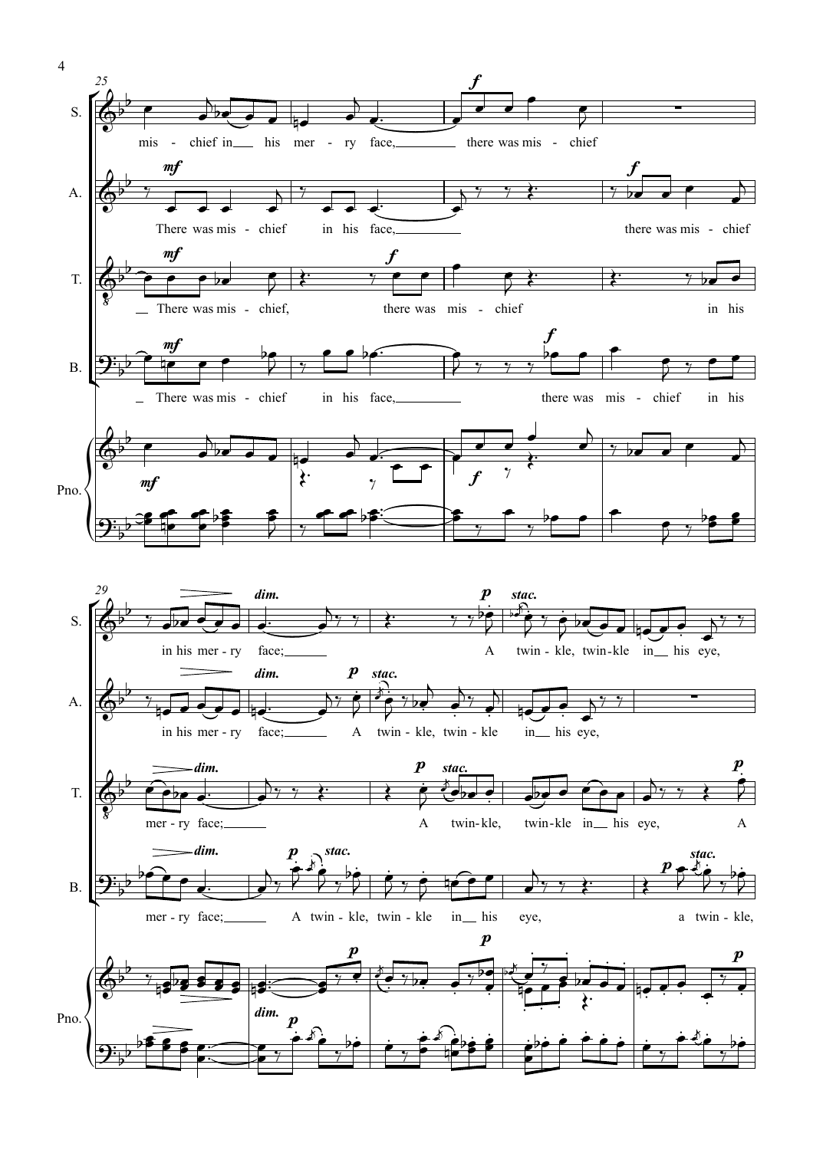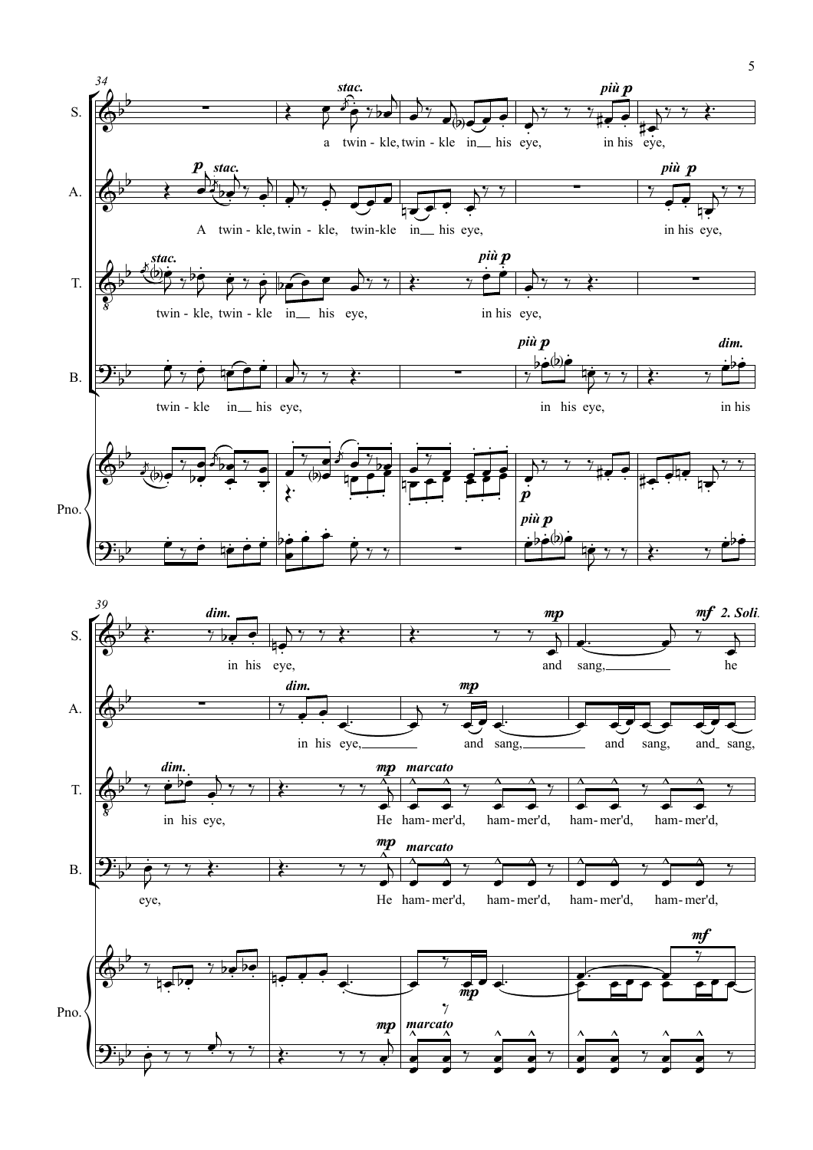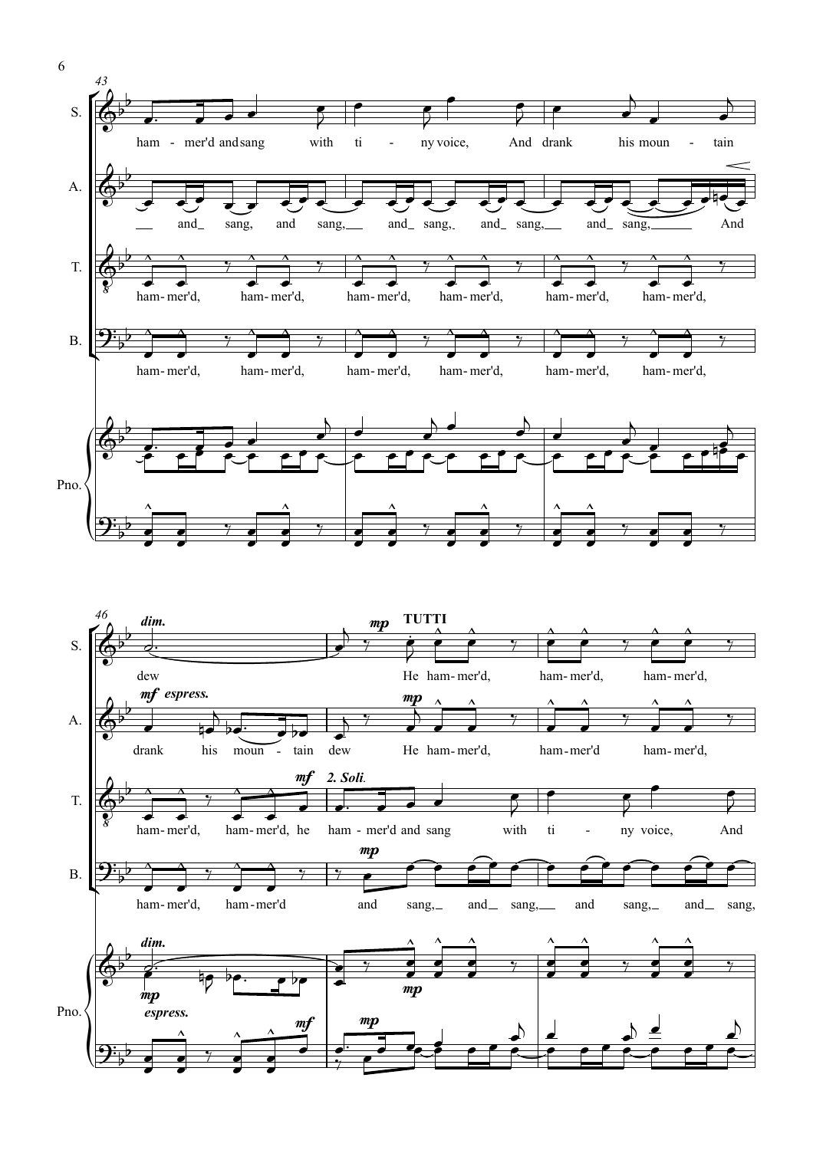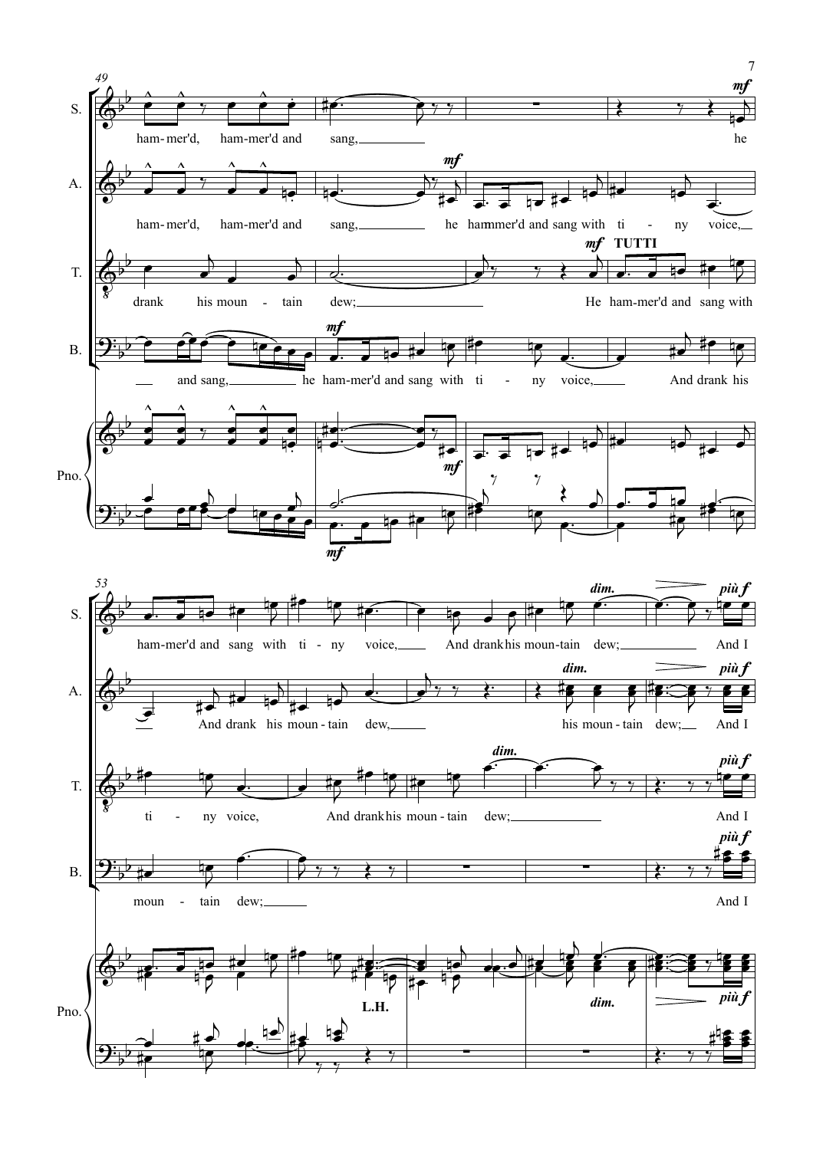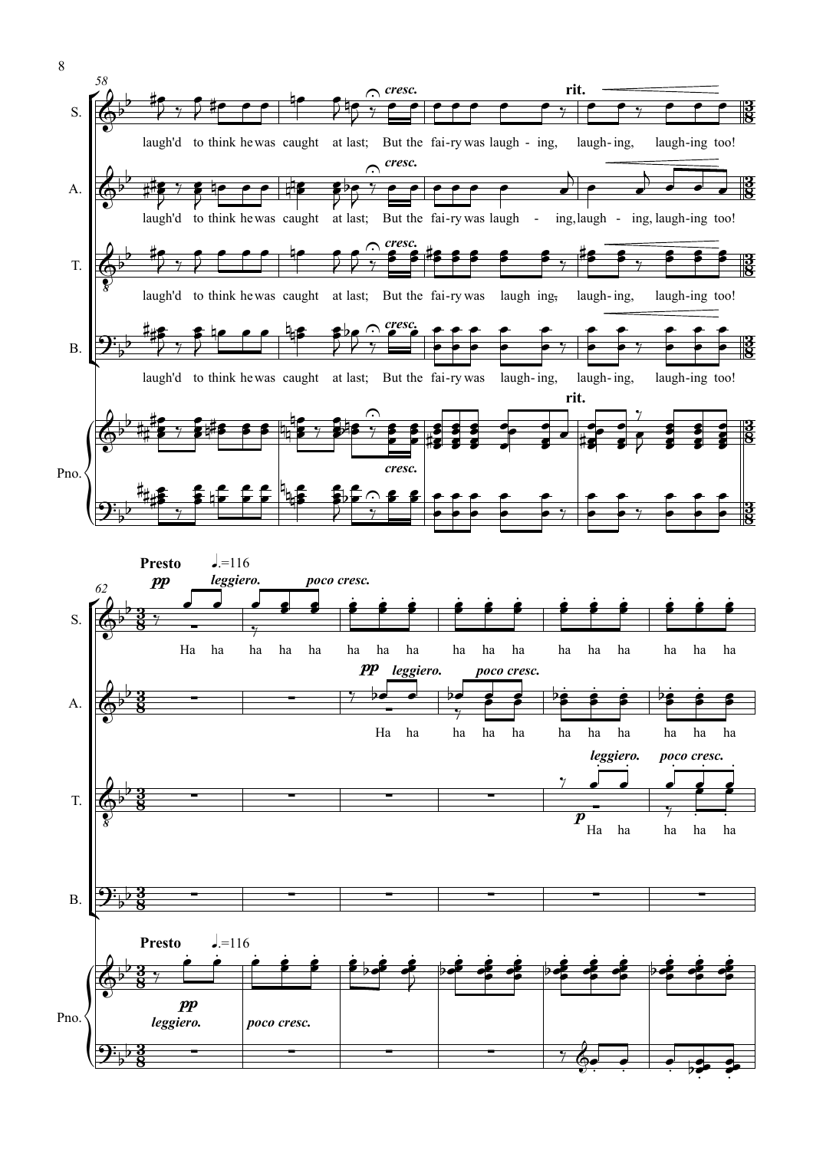

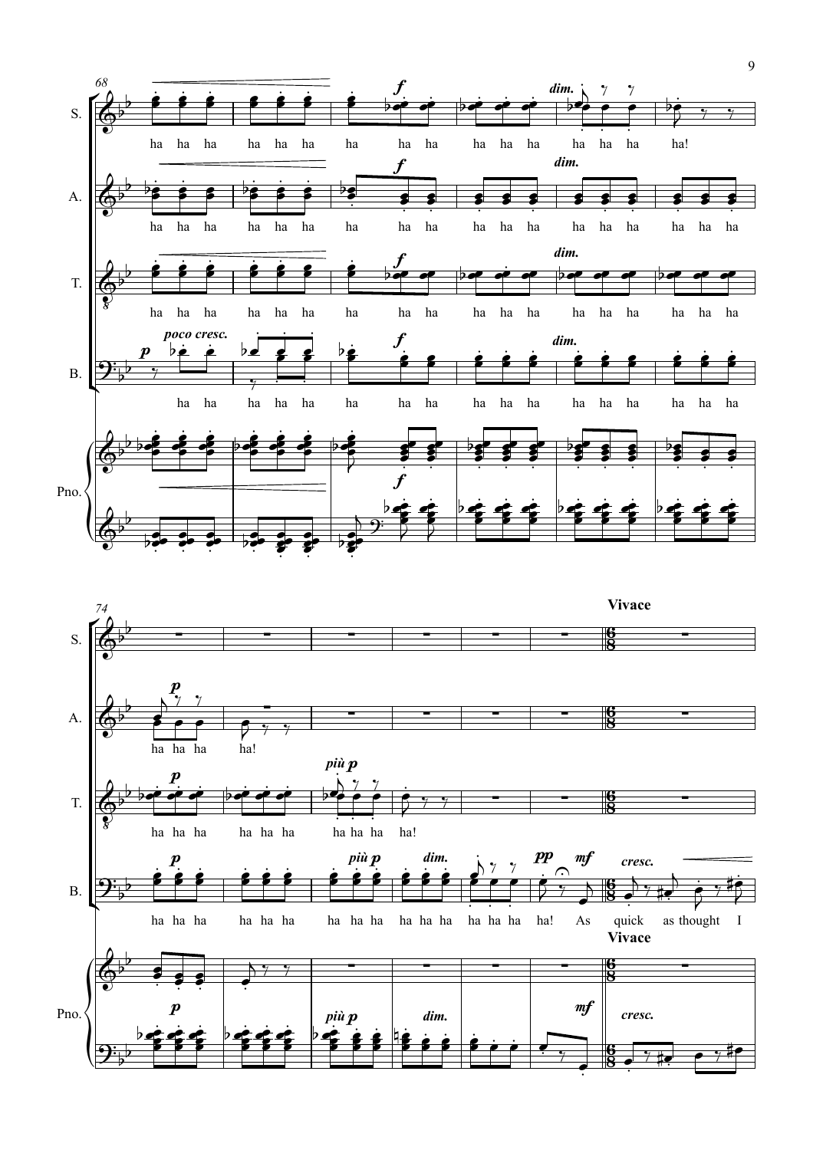

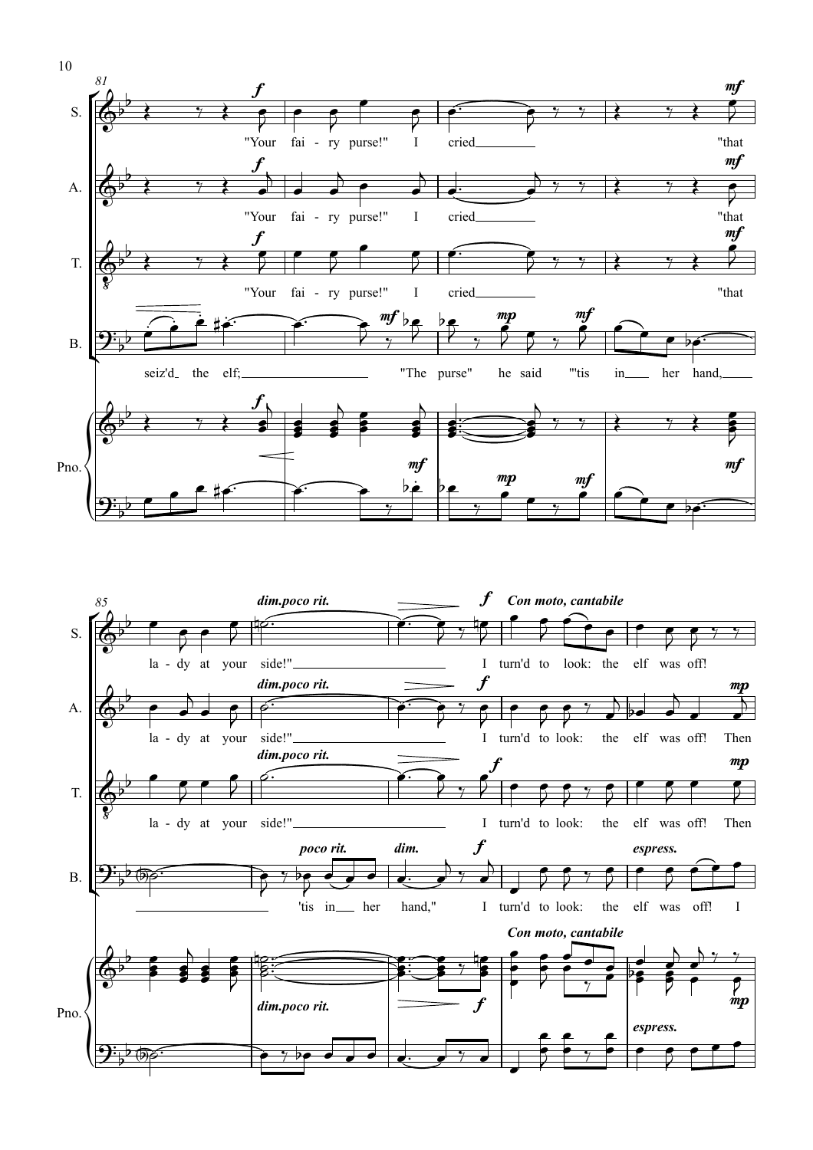

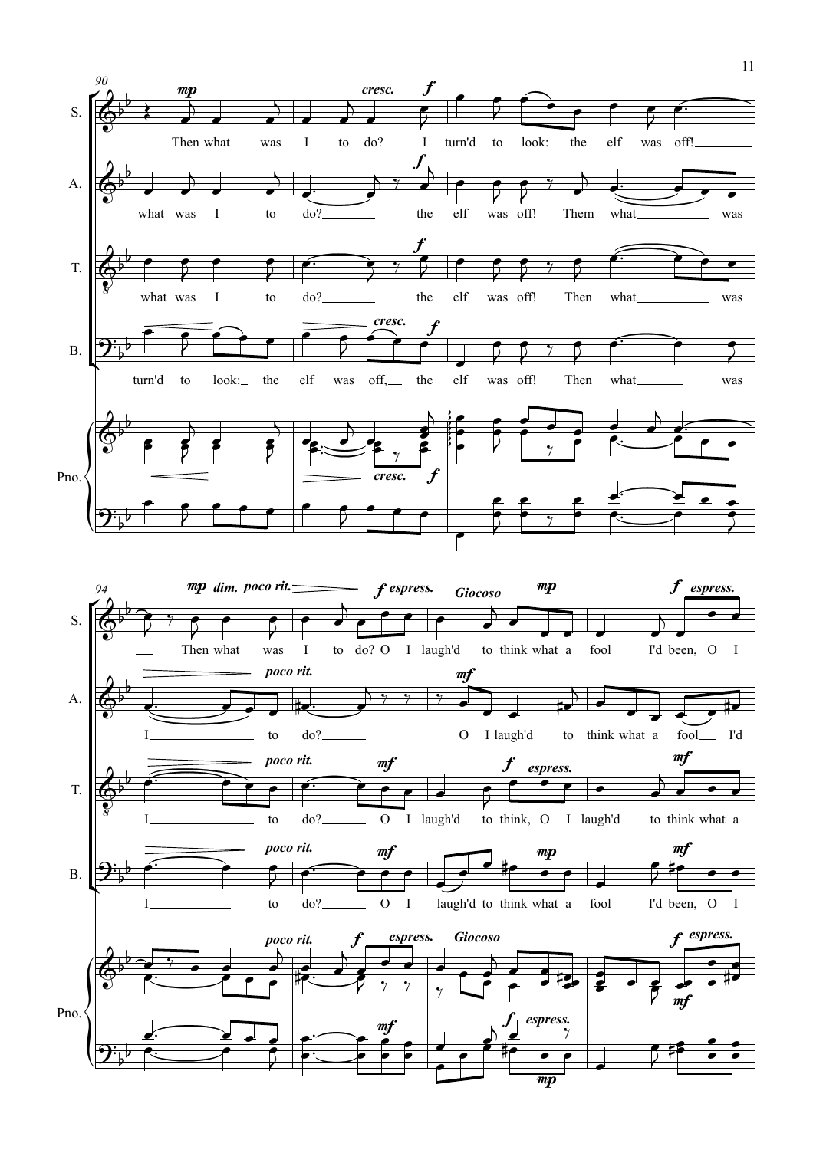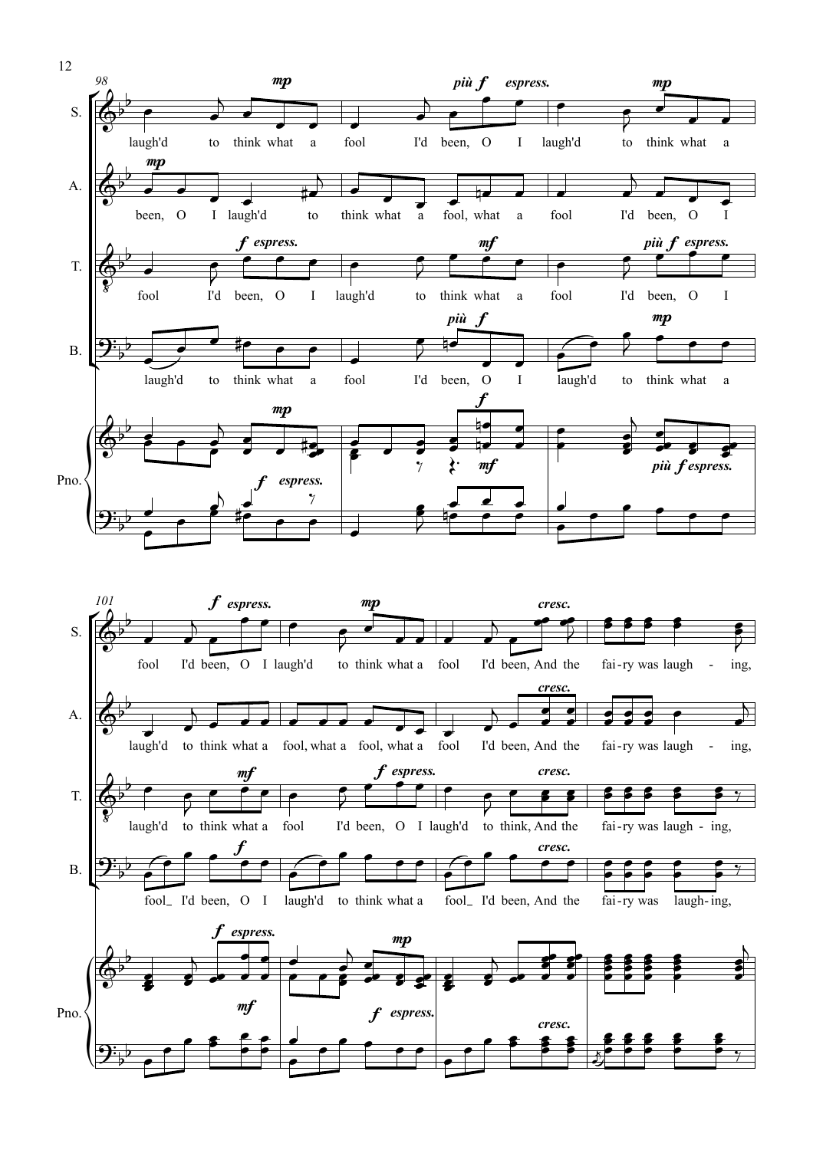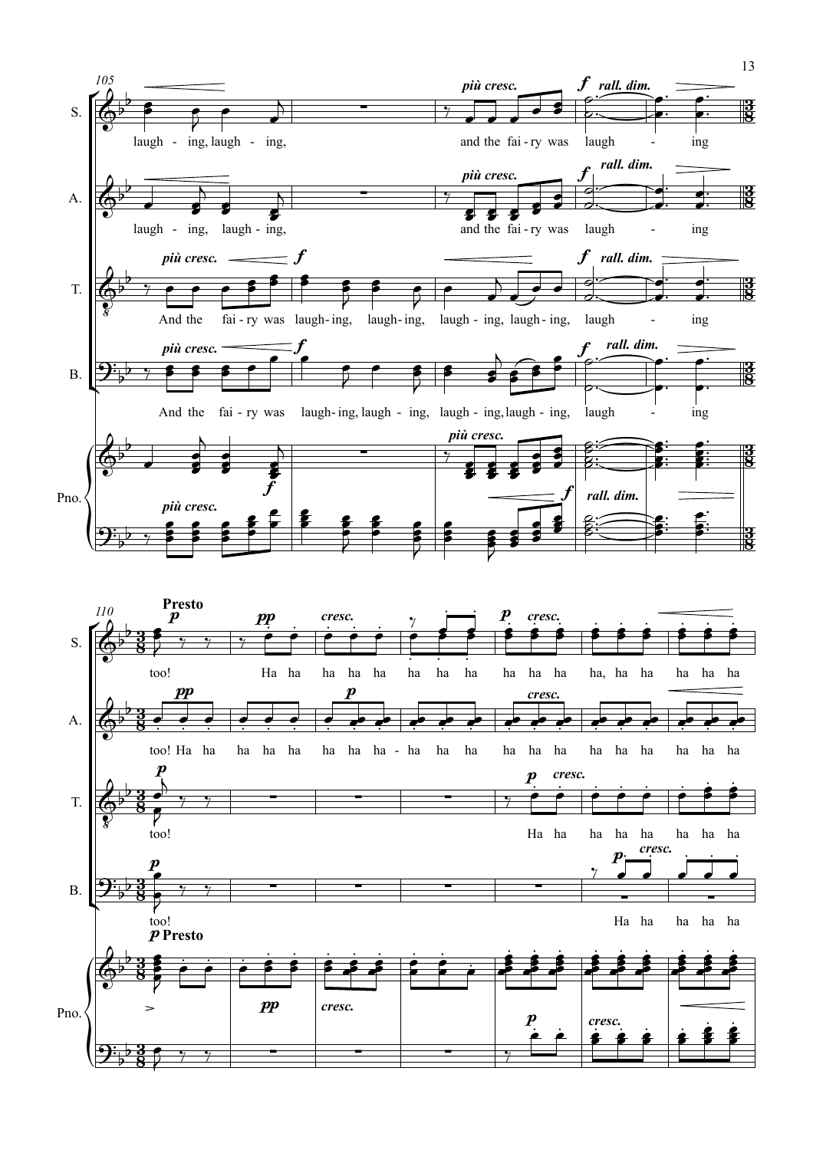